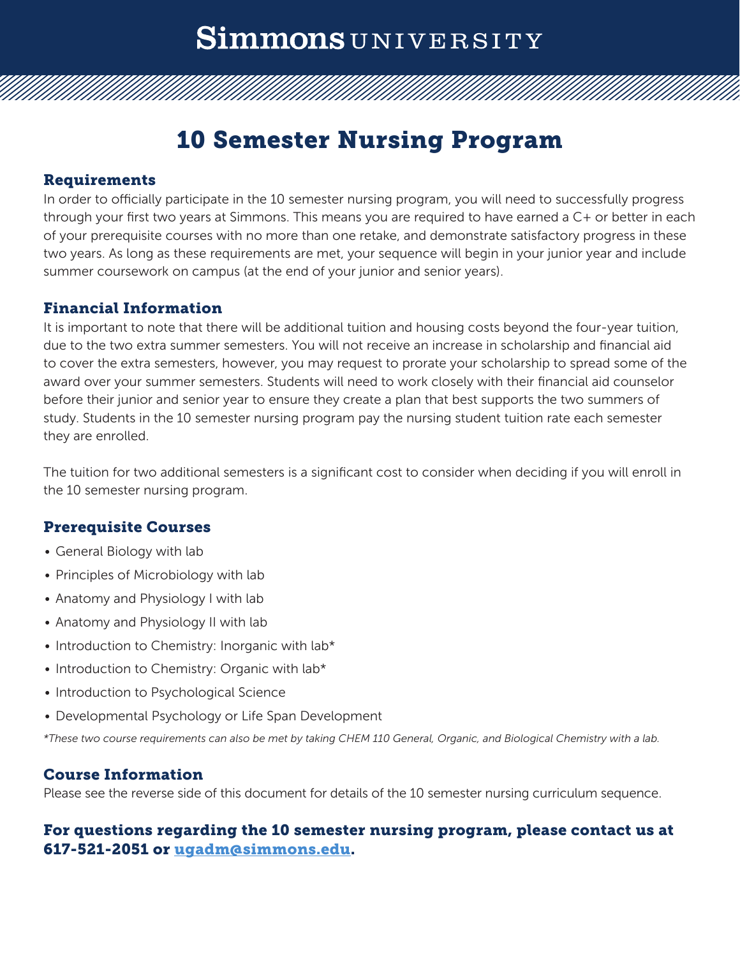# Simmons UNIVERSITY

### 10 Semester Nursing Program

#### Requirements

In order to officially participate in the 10 semester nursing program, you will need to successfully progress through your first two years at Simmons. This means you are required to have earned a C+ or better in each of your prerequisite courses with no more than one retake, and demonstrate satisfactory progress in these two years. As long as these requirements are met, your sequence will begin in your junior year and include summer coursework on campus (at the end of your junior and senior years).

#### Financial Information

It is important to note that there will be additional tuition and housing costs beyond the four-year tuition, due to the two extra summer semesters. You will not receive an increase in scholarship and financial aid to cover the extra semesters, however, you may request to prorate your scholarship to spread some of the award over your summer semesters. Students will need to work closely with their financial aid counselor before their junior and senior year to ensure they create a plan that best supports the two summers of study. Students in the 10 semester nursing program pay the nursing student tuition rate each semester they are enrolled.

The tuition for two additional semesters is a significant cost to consider when deciding if you will enroll in the 10 semester nursing program.

#### Prerequisite Courses

- General Biology with lab
- Principles of Microbiology with lab
- Anatomy and Physiology I with lab
- Anatomy and Physiology II with lab
- Introduction to Chemistry: Inorganic with lab\*
- Introduction to Chemistry: Organic with lab\*
- Introduction to Psychological Science
- Developmental Psychology or Life Span Development

*\*These two course requirements can also be met by taking CHEM 110 General, Organic, and Biological Chemistry with a lab.*

#### Course Information

Please see the reverse side of this document for details of the 10 semester nursing curriculum sequence.

#### For questions regarding the 10 semester nursing program, please contact us at 617-521-2051 or [ugadm@simmons.edu](mailto:ugadm%40simmons.edu?subject=).